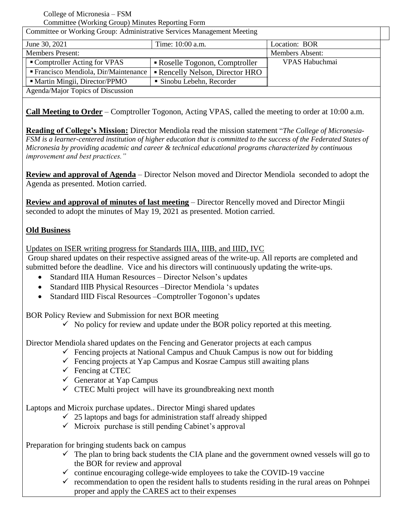College of Micronesia – FSM Committee (Working Group) Minutes Reporting Form

| Committee or Working Group: Administrative Services Management Meeting |                                |                        |
|------------------------------------------------------------------------|--------------------------------|------------------------|
| June 30, 2021                                                          | Time: 10:00 a.m.               | Location: BOR          |
| <b>Members Present:</b>                                                |                                | <b>Members Absent:</b> |
| • Comptroller Acting for VPAS                                          | • Roselle Togonon, Comptroller | <b>VPAS Habuchmai</b>  |
| ■ Francisco Mendiola, Dir/Maintenance                                  | Rencelly Nelson, Director HRO  |                        |
| • Martin Mingii, Director/PPMO                                         | • Sinobu Lebehn, Recorder      |                        |
| Agenda/Major Topics of Discussion                                      |                                |                        |

**Call Meeting to Order** – Comptroller Togonon, Acting VPAS, called the meeting to order at 10:00 a.m.

**Reading of College's Mission:** Director Mendiola read the mission statement "*The College of Micronesia-*FSM is a learner-centered institution of higher education that is committed to the success of the Federated States of *Micronesia by providing academic and career & technical educational programs characterized by continuous improvement and best practices."*

**Review and approval of Agenda** – Director Nelson moved and Director Mendiola seconded to adopt the Agenda as presented. Motion carried.

**Review and approval of minutes of last meeting** – Director Rencelly moved and Director Mingii seconded to adopt the minutes of May 19, 2021 as presented. Motion carried.

## **Old Business**

Updates on ISER writing progress for Standards IIIA, IIIB, and IIID, IVC

Group shared updates on their respective assigned areas of the write-up. All reports are completed and submitted before the deadline. Vice and his directors will continuously updating the write-ups.

- Standard IIIA Human Resources Director Nelson's updates
- Standard IIIB Physical Resources –Director Mendiola 's updates
- Standard IIID Fiscal Resources –Comptroller Togonon's updates

BOR Policy Review and Submission for next BOR meeting

 $\checkmark$  No policy for review and update under the BOR policy reported at this meeting.

Director Mendiola shared updates on the Fencing and Generator projects at each campus

- $\checkmark$  Fencing projects at National Campus and Chuuk Campus is now out for bidding
- $\checkmark$  Fencing projects at Yap Campus and Kosrae Campus still awaiting plans
- $\checkmark$  Fencing at CTEC
- $\checkmark$  Generator at Yap Campus
- $\checkmark$  CTEC Multi project will have its groundbreaking next month

Laptops and Microix purchase updates.. Director Mingi shared updates

- $\checkmark$  25 laptops and bags for administration staff already shipped
- $\checkmark$  Microix purchase is still pending Cabinet's approval

Preparation for bringing students back on campus

- $\checkmark$  The plan to bring back students the CIA plane and the government owned vessels will go to the BOR for review and approval
- $\checkmark$  continue encouraging college-wide employees to take the COVID-19 vaccine
- $\checkmark$  recommendation to open the resident halls to students residing in the rural areas on Pohnpei proper and apply the CARES act to their expenses